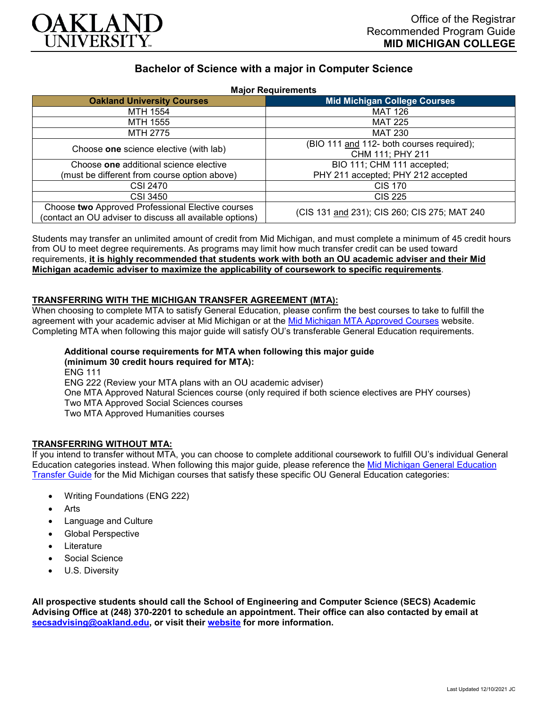

# **Bachelor of Science with a major in Computer Science**

| <b>Major Requirements</b> |
|---------------------------|
|---------------------------|

| <b>MANITED INCLUSION</b>                                 |                                              |
|----------------------------------------------------------|----------------------------------------------|
| <b>Oakland University Courses</b>                        | <b>Mid Michigan College Courses</b>          |
| MTH 1554                                                 | <b>MAT 126</b>                               |
| MTH 1555                                                 | <b>MAT 225</b>                               |
| MTH 2775                                                 | <b>MAT 230</b>                               |
| Choose one science elective (with lab)                   | (BIO 111 and 112- both courses required);    |
|                                                          | CHM 111; PHY 211                             |
| Choose one additional science elective                   | BIO 111; CHM 111 accepted;                   |
| (must be different from course option above)             | PHY 211 accepted; PHY 212 accepted           |
| CSI 2470                                                 | <b>CIS 170</b>                               |
| <b>CSI 3450</b>                                          | <b>CIS 225</b>                               |
| Choose two Approved Professional Elective courses        | (CIS 131 and 231); CIS 260; CIS 275; MAT 240 |
| (contact an OU adviser to discuss all available options) |                                              |

Students may transfer an unlimited amount of credit from Mid Michigan, and must complete a minimum of 45 credit hours from OU to meet degree requirements. As programs may limit how much transfer credit can be used toward requirements, **it is highly recommended that students work with both an OU academic adviser and their Mid Michigan academic adviser to maximize the applicability of coursework to specific requirements**.

## **TRANSFERRING WITH THE MICHIGAN TRANSFER AGREEMENT (MTA):**

When choosing to complete MTA to satisfy General Education, please confirm the best courses to take to fulfill the agreement with your academic adviser at Mid Michigan or at the [Mid Michigan MTA Approved Courses](https://www.midmich.edu/academics/transfer/mta) website. Completing MTA when following this major guide will satisfy OU's transferable General Education requirements.

**Additional course requirements for MTA when following this major guide (minimum 30 credit hours required for MTA):** ENG 111 ENG 222 (Review your MTA plans with an OU academic adviser) One MTA Approved Natural Sciences course (only required if both science electives are PHY courses) Two MTA Approved Social Sciences courses Two MTA Approved Humanities courses

#### **TRANSFERRING WITHOUT MTA:**

If you intend to transfer without MTA, you can choose to complete additional coursework to fulfill OU's individual General Education categories instead. When following this major guide, please reference the [Mid Michigan General Education](https://www.oakland.edu/Assets/Oakland/program-guides/mid-michigan-community-college/university-general-education-requirements/Mid%20Michigan%20Gen%20Ed.pdf)  [Transfer Guide](https://www.oakland.edu/Assets/Oakland/program-guides/mid-michigan-community-college/university-general-education-requirements/Mid%20Michigan%20Gen%20Ed.pdf) for the Mid Michigan courses that satisfy these specific OU General Education categories:

- Writing Foundations (ENG 222)
- Arts
- Language and Culture
- Global Perspective
- **Literature**
- Social Science
- U.S. Diversity

**All prospective students should call the School of Engineering and Computer Science (SECS) Academic Advising Office at (248) 370-2201 to schedule an appointment. Their office can also contacted by email at [secsadvising@oakland.edu,](mailto:secsadvising@oakland.edu) or visit their [website](https://wwwp.oakland.edu/secs/advising/) for more information.**